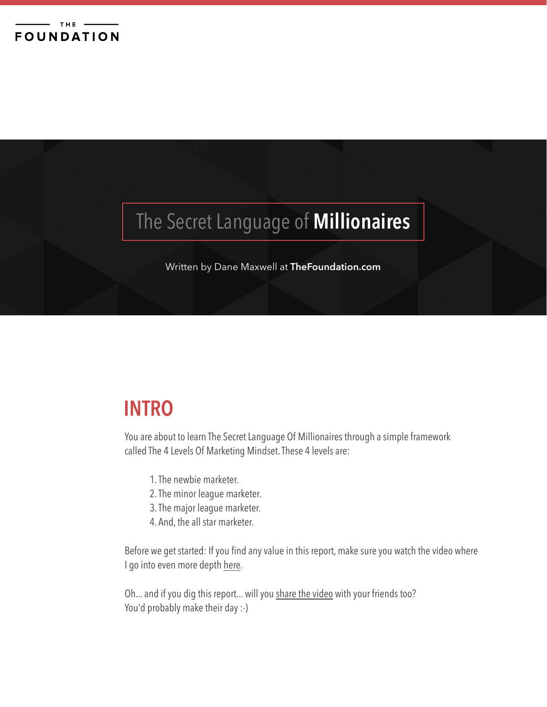# The Secret Language of **Millionaires**

Written by Dane Maxwell at **[TheFoundation.com](http://TheFoundation.com)**

### **INTRO**

You are about to learn The Secret Language Of Millionaires through a simple framework called The 4 Levels Of Marketing Mindset. These 4 levels are:

- 1. The newbie marketer.
- 2. The minor league marketer.
- 3. The major league marketer.
- 4. And, the all star marketer.

Before we get started: If you find any value in this report, make sure you watch the video where I go into even more depth [here](http://thefoundation.com/marketing-mindset/).

Oh... and if you dig this report... will you [share the video](http://thefoundation.com/marketing-mindset/) with your friends too? You'd probably make their day :-)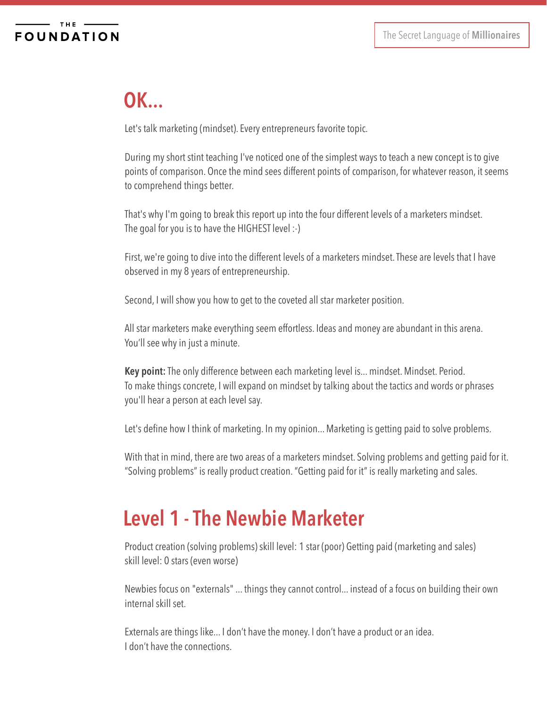## **OK...**

Let's talk marketing (mindset). Every entrepreneurs favorite topic.

During my short stint teaching I've noticed one of the simplest ways to teach a new concept is to give points of comparison. Once the mind sees different points of comparison, for whatever reason, it seems to comprehend things better.

That's why I'm going to break this report up into the four different levels of a marketers mindset. The goal for you is to have the HIGHEST level :-)

First, we're going to dive into the different levels of a marketers mindset. These are levels that I have observed in my 8 years of entrepreneurship.

Second, I will show you how to get to the coveted all star marketer position.

All star marketers make everything seem effortless. Ideas and money are abundant in this arena. You'll see why in just a minute.

**Key point:** The only difference between each marketing level is... mindset. Mindset. Period. To make things concrete, I will expand on mindset by talking about the tactics and words or phrases you'll hear a person at each level say.

Let's define how I think of marketing. In my opinion... Marketing is getting paid to solve problems.

With that in mind, there are two areas of a marketers mindset. Solving problems and getting paid for it. "Solving problems" is really product creation. "Getting paid for it" is really marketing and sales.

### **Level 1 - The Newbie Marketer**

Product creation (solving problems) skill level: 1 star (poor) Getting paid (marketing and sales) skill level: 0 stars (even worse)

Newbies focus on "externals" ... things they cannot control... instead of a focus on building their own internal skill set.

Externals are things like... I don't have the money. I don't have a product or an idea. I don't have the connections.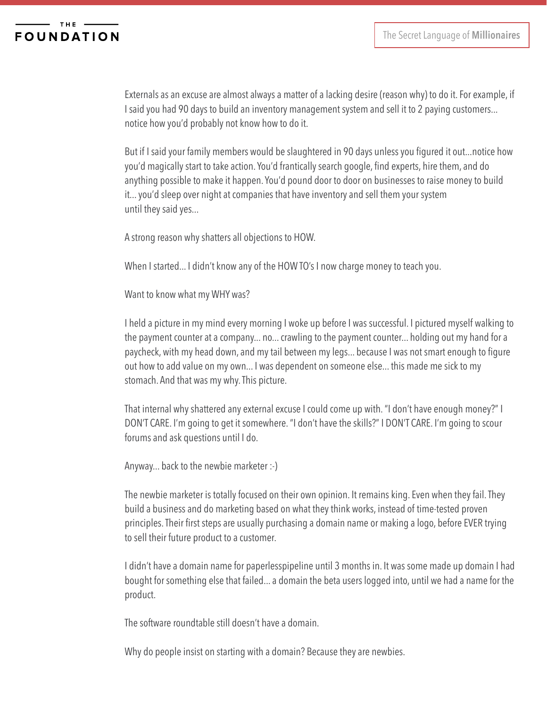### **FOUNDATION**

Externals as an excuse are almost always a matter of a lacking desire (reason why) to do it. For example, if I said you had 90 days to build an inventory management system and sell it to 2 paying customers... notice how you'd probably not know how to do it.

But if I said your family members would be slaughtered in 90 days unless you figured it out...notice how you'd magically start to take action. You'd frantically search google, find experts, hire them, and do anything possible to make it happen. You'd pound door to door on businesses to raise money to build it... you'd sleep over night at companies that have inventory and sell them your system until they said yes...

A strong reason why shatters all objections to HOW.

When I started... I didn't know any of the HOW TO's I now charge money to teach you.

Want to know what my WHY was?

I held a picture in my mind every morning I woke up before I was successful. I pictured myself walking to the payment counter at a company... no... crawling to the payment counter... holding out my hand for a paycheck, with my head down, and my tail between my legs... because I was not smart enough to figure out how to add value on my own... I was dependent on someone else... this made me sick to my stomach. And that was my why. This picture.

That internal why shattered any external excuse I could come up with. "I don't have enough money?" I DON'T CARE. I'm going to get it somewhere. "I don't have the skills?" I DON'T CARE. I'm going to scour forums and ask questions until I do.

Anyway... back to the newbie marketer :-)

The newbie marketer is totally focused on their own opinion. It remains king. Even when they fail. They build a business and do marketing based on what they think works, instead of time-tested proven principles. Their first steps are usually purchasing a domain name or making a logo, before EVER trying to sell their future product to a customer.

I didn't have a domain name for paperlesspipeline until 3 months in. It was some made up domain I had bought for something else that failed... a domain the beta users logged into, until we had a name for the product.

The software roundtable still doesn't have a domain.

Why do people insist on starting with a domain? Because they are newbies.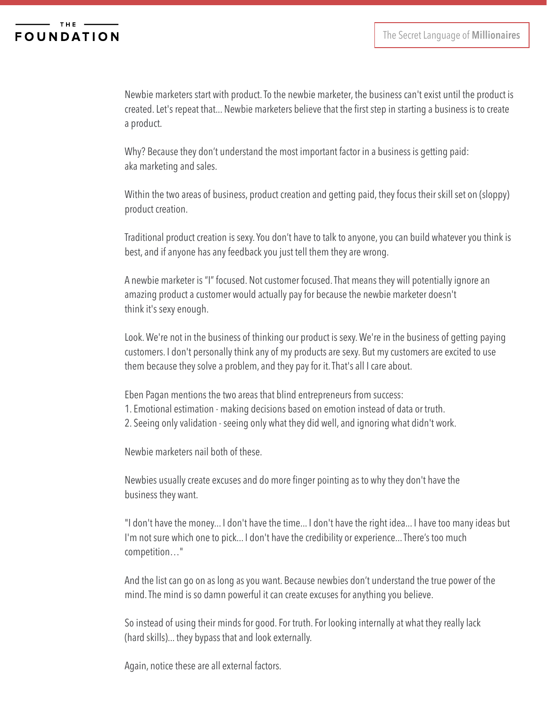Newbie marketers start with product. To the newbie marketer, the business can't exist until the product is created. Let's repeat that... Newbie marketers believe that the first step in starting a business is to create a product.

Why? Because they don't understand the most important factor in a business is getting paid: aka marketing and sales.

Within the two areas of business, product creation and getting paid, they focus their skill set on (sloppy) product creation.

Traditional product creation is sexy. You don't have to talk to anyone, you can build whatever you think is best, and if anyone has any feedback you just tell them they are wrong.

A newbie marketer is "I" focused. Not customer focused. That means they will potentially ignore an amazing product a customer would actually pay for because the newbie marketer doesn't think it's sexy enough.

Look. We're not in the business of thinking our product is sexy. We're in the business of getting paying customers. I don't personally think any of my products are sexy. But my customers are excited to use them because they solve a problem, and they pay for it. That's all I care about.

Eben Pagan mentions the two areas that blind entrepreneurs from success: 1. Emotional estimation - making decisions based on emotion instead of data or truth. 2. Seeing only validation - seeing only what they did well, and ignoring what didn't work.

Newbie marketers nail both of these.

Newbies usually create excuses and do more finger pointing as to why they don't have the business they want.

"I don't have the money... I don't have the time... I don't have the right idea... I have too many ideas but I'm not sure which one to pick... I don't have the credibility or experience... There's too much competition…"

And the list can go on as long as you want. Because newbies don't understand the true power of the mind. The mind is so damn powerful it can create excuses for anything you believe.

So instead of using their minds for good. For truth. For looking internally at what they really lack (hard skills)... they bypass that and look externally.

Again, notice these are all external factors.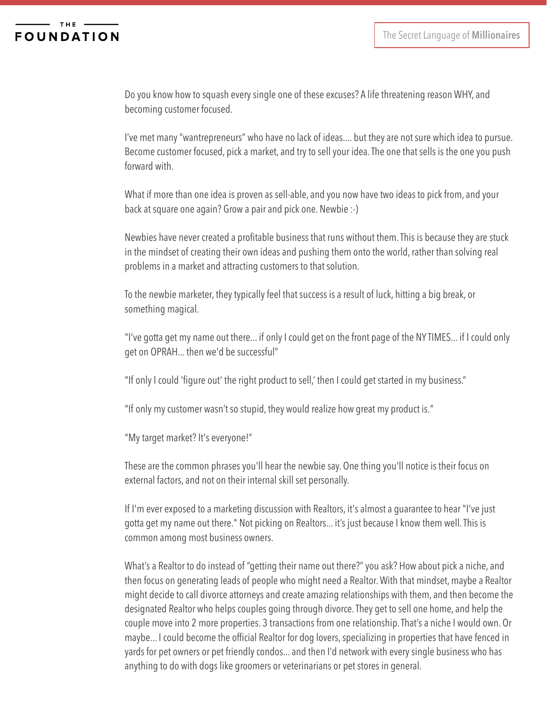### **FOUNDATION**

Do you know how to squash every single one of these excuses? A life threatening reason WHY, and becoming customer focused.

I've met many "wantrepreneurs" who have no lack of ideas.... but they are not sure which idea to pursue. Become customer focused, pick a market, and try to sell your idea. The one that sells is the one you push forward with.

What if more than one idea is proven as sell-able, and you now have two ideas to pick from, and your back at square one again? Grow a pair and pick one. Newbie :-)

Newbies have never created a profitable business that runs without them. This is because they are stuck in the mindset of creating their own ideas and pushing them onto the world, rather than solving real problems in a market and attracting customers to that solution.

To the newbie marketer, they typically feel that success is a result of luck, hitting a big break, or something magical.

"I've gotta get my name out there... if only I could get on the front page of the NY TIMES... if I could only get on OPRAH... then we'd be successful"

"If only I could 'figure out' the right product to sell,' then I could get started in my business."

"If only my customer wasn't so stupid, they would realize how great my product is."

"My target market? It's everyone!"

These are the common phrases you'll hear the newbie say. One thing you'll notice is their focus on external factors, and not on their internal skill set personally.

If I'm ever exposed to a marketing discussion with Realtors, it's almost a guarantee to hear "I've just gotta get my name out there." Not picking on Realtors... it's just because I know them well. This is common among most business owners.

What's a Realtor to do instead of "getting their name out there?" you ask? How about pick a niche, and then focus on generating leads of people who might need a Realtor. With that mindset, maybe a Realtor might decide to call divorce attorneys and create amazing relationships with them, and then become the designated Realtor who helps couples going through divorce. They get to sell one home, and help the couple move into 2 more properties. 3 transactions from one relationship. That's a niche I would own. Or maybe... I could become the official Realtor for dog lovers, specializing in properties that have fenced in yards for pet owners or pet friendly condos... and then I'd network with every single business who has anything to do with dogs like groomers or veterinarians or pet stores in general.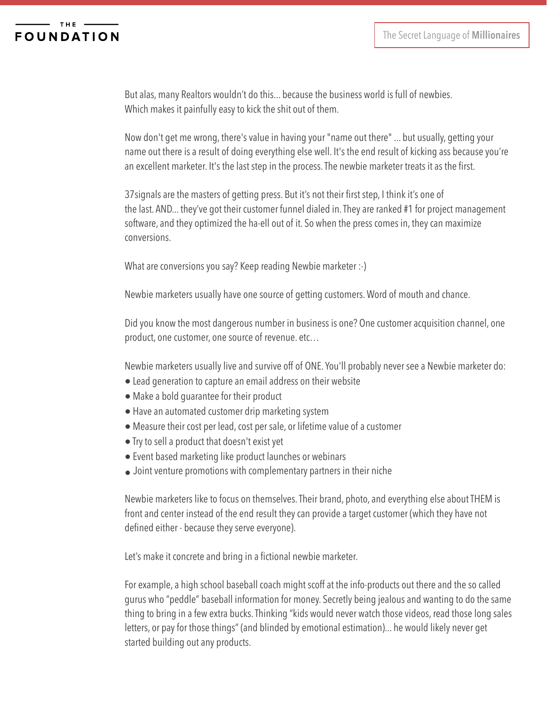But alas, many Realtors wouldn't do this... because the business world is full of newbies. Which makes it painfully easy to kick the shit out of them.

Now don't get me wrong, there's value in having your "name out there" ... but usually, getting your name out there is a result of doing everything else well. It's the end result of kicking ass because you're an excellent marketer. It's the last step in the process. The newbie marketer treats it as the first.

37signals are the masters of getting press. But it's not their first step, I think it's one of the last. AND... they've got their customer funnel dialed in. They are ranked #1 for project management software, and they optimized the ha-ell out of it. So when the press comes in, they can maximize conversions.

What are conversions you say? Keep reading Newbie marketer :-)

Newbie marketers usually have one source of getting customers. Word of mouth and chance.

Did you know the most dangerous number in business is one? One customer acquisition channel, one product, one customer, one source of revenue. etc…

Newbie marketers usually live and survive off of ONE. You'll probably never see a Newbie marketer do:

- Lead generation to capture an email address on their website
- Make a bold guarantee for their product
- Have an automated customer drip marketing system
- Measure their cost per lead, cost per sale, or lifetime value of a customer
- Try to sell a product that doesn't exist yet
- Event based marketing like product launches or webinars
- Joint venture promotions with complementary partners in their niche

Newbie marketers like to focus on themselves. Their brand, photo, and everything else about THEM is front and center instead of the end result they can provide a target customer (which they have not defined either - because they serve everyone).

Let's make it concrete and bring in a fictional newbie marketer.

For example, a high school baseball coach might scoff at the info-products out there and the so called gurus who "peddle" baseball information for money. Secretly being jealous and wanting to do the same thing to bring in a few extra bucks. Thinking "kids would never watch those videos, read those long sales letters, or pay for those things" (and blinded by emotional estimation)... he would likely never get started building out any products.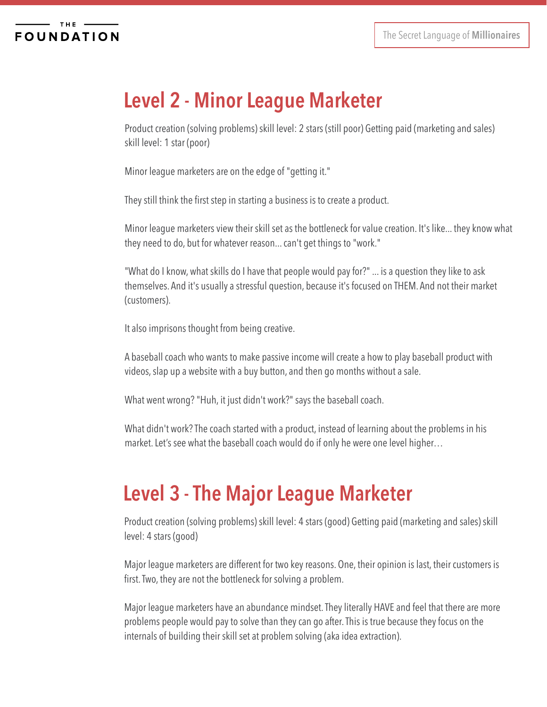## **Level 2 - Minor League Marketer**

Product creation (solving problems) skill level: 2 stars (still poor) Getting paid (marketing and sales) skill level: 1 star (poor)

Minor league marketers are on the edge of "getting it."

They still think the first step in starting a business is to create a product.

Minor league marketers view their skill set as the bottleneck for value creation. It's like... they know what they need to do, but for whatever reason... can't get things to "work."

"What do I know, what skills do I have that people would pay for?" ... is a question they like to ask themselves. And it's usually a stressful question, because it's focused on THEM. And not their market (customers).

It also imprisons thought from being creative.

A baseball coach who wants to make passive income will create a how to play baseball product with videos, slap up a website with a buy button, and then go months without a sale.

What went wrong? "Huh, it just didn't work?" says the baseball coach.

What didn't work? The coach started with a product, instead of learning about the problems in his market. Let's see what the baseball coach would do if only he were one level higher…

## **Level 3 - The Major League Marketer**

Product creation (solving problems) skill level: 4 stars (good) Getting paid (marketing and sales) skill level: 4 stars (good)

Major league marketers are different for two key reasons. One, their opinion is last, their customers is first. Two, they are not the bottleneck for solving a problem.

Major league marketers have an abundance mindset. They literally HAVE and feel that there are more problems people would pay to solve than they can go after. This is true because they focus on the internals of building their skill set at problem solving (aka idea extraction).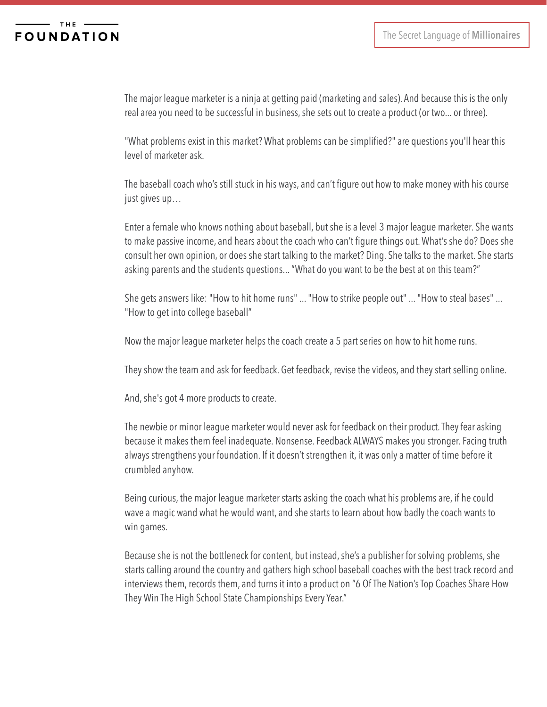### **FOUNDATION**

The major league marketer is a ninja at getting paid (marketing and sales). And because this is the only real area you need to be successful in business, she sets out to create a product (or two... or three).

"What problems exist in this market? What problems can be simplified?" are questions you'll hear this level of marketer ask.

The baseball coach who's still stuck in his ways, and can't figure out how to make money with his course just gives up…

Enter a female who knows nothing about baseball, but she is a level 3 major league marketer. She wants to make passive income, and hears about the coach who can't figure things out. What's she do? Does she consult her own opinion, or does she start talking to the market? Ding. She talks to the market. She starts asking parents and the students questions... "What do you want to be the best at on this team?"

She gets answers like: "How to hit home runs" ... "How to strike people out" ... "How to steal bases" ... "How to get into college baseball"

Now the major league marketer helps the coach create a 5 part series on how to hit home runs.

They show the team and ask for feedback. Get feedback, revise the videos, and they start selling online.

And, she's got 4 more products to create.

The newbie or minor league marketer would never ask for feedback on their product. They fear asking because it makes them feel inadequate. Nonsense. Feedback ALWAYS makes you stronger. Facing truth always strengthens your foundation. If it doesn't strengthen it, it was only a matter of time before it crumbled anyhow.

Being curious, the major league marketer starts asking the coach what his problems are, if he could wave a magic wand what he would want, and she starts to learn about how badly the coach wants to win games.

Because she is not the bottleneck for content, but instead, she's a publisher for solving problems, she starts calling around the country and gathers high school baseball coaches with the best track record and interviews them, records them, and turns it into a product on "6 Of The Nation's Top Coaches Share How They Win The High School State Championships Every Year."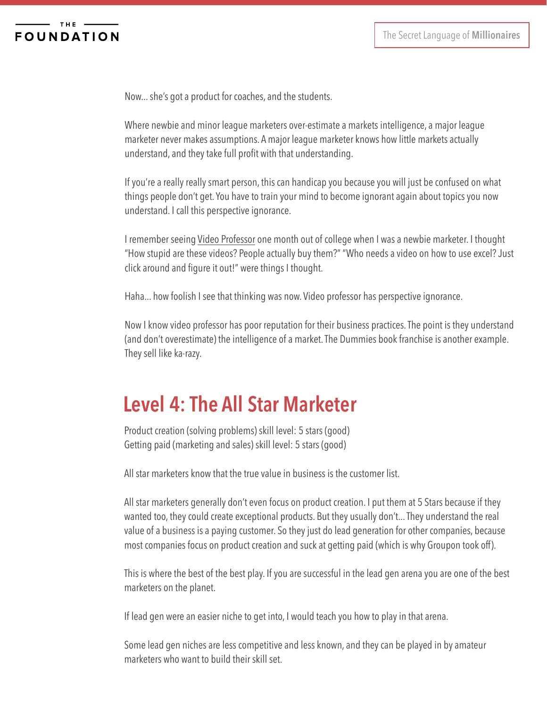Now... she's got a product for coaches, and the students.

Where newbie and minor league marketers over-estimate a markets intelligence, a major league marketer never makes assumptions. A major league marketer knows how little markets actually understand, and they take full profit with that understanding.

If you're a really really smart person, this can handicap you because you will just be confused on what things people don't get. You have to train your mind to become ignorant again about topics you now understand. I call this perspective ignorance.

I remember seeing [Video Professor](https://www.videoprofessor.com) one month out of college when I was a newbie marketer. I thought "How stupid are these videos? People actually buy them?" "Who needs a video on how to use excel? Just click around and figure it out!" were things I thought.

Haha... how foolish I see that thinking was now. Video professor has perspective ignorance.

Now I know video professor has poor reputation for their business practices. The point is they understand (and don't overestimate) the intelligence of a market. The Dummies book franchise is another example. They sell like ka-razy.

### **Level 4: The All Star Marketer**

Product creation (solving problems) skill level: 5 stars (good) Getting paid (marketing and sales) skill level: 5 stars (good)

All star marketers know that the true value in business is the customer list.

All star marketers generally don't even focus on product creation. I put them at 5 Stars because if they wanted too, they could create exceptional products. But they usually don't... They understand the real value of a business is a paying customer. So they just do lead generation for other companies, because most companies focus on product creation and suck at getting paid (which is why Groupon took off).

This is where the best of the best play. If you are successful in the lead gen arena you are one of the best marketers on the planet.

If lead gen were an easier niche to get into, I would teach you how to play in that arena.

Some lead gen niches are less competitive and less known, and they can be played in by amateur marketers who want to build their skill set.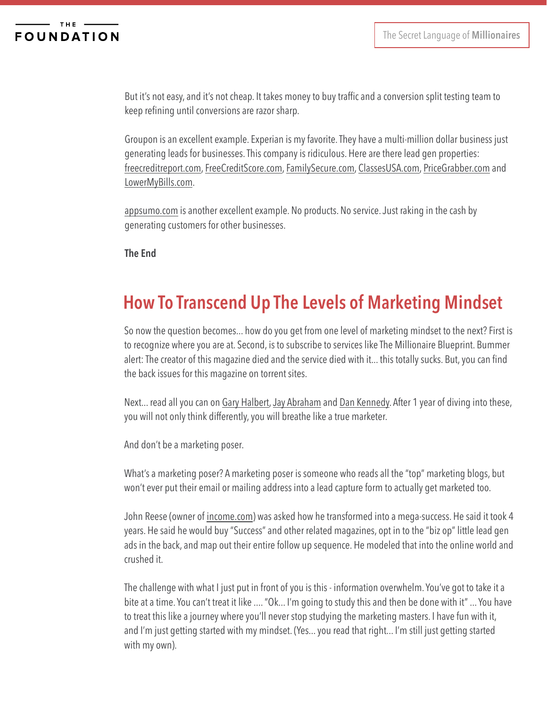But it's not easy, and it's not cheap. It takes money to buy traffic and a conversion split testing team to keep refining until conversions are razor sharp.

Groupon is an excellent example. Experian is my favorite. They have a multi-million dollar business just generating leads for businesses. This company is ridiculous. Here are there lead gen properties: [freecreditreport.com](http://www.freecreditreport.com/about-us/Message.aspx?PageTypeID=About%20Credit%20Expert&WT.svl=about&SiteVersionID=990&SiteID=100133&sc=674023&bcd=&campaignID=22), [FreeCreditScore.com](http://www.freecreditscore.com), [FamilySecure.com,](http://www.familysecure.com/Default.aspx) [ClassesUSA.com,](http://classesusa.com) [PriceGrabber.com](http://www.pricegrabber.com/?) and [LowerMyBills.com.](https://www.lowermybills.com)

[appsumo.com](http://www.appsumo.com/iconsmind/) is another excellent example. No products. No service. Just raking in the cash by generating customers for other businesses.

**The End**

### **How To Transcend Up The Levels of Marketing Mindset**

So now the question becomes... how do you get from one level of marketing mindset to the next? First is to recognize where you are at. Second, is to subscribe to services like The Millionaire Blueprint. Bummer alert: The creator of this magazine died and the service died with it... this totally sucks. But, you can find the back issues for this magazine on torrent sites.

Next... read all you can on [Gary Halbert](http://www.thegaryhalbertletter.com), [Jay Abraham](http://www.abraham.com) and [Dan Kennedy.](http://gkic.com) After 1 year of diving into these, you will not only think differently, you will breathe like a true marketer.

And don't be a marketing poser.

What's a marketing poser? A marketing poser is someone who reads all the "top" marketing blogs, but won't ever put their email or mailing address into a lead capture form to actually get marketed too.

John Reese (owner of [income.com](http://income.com)) was asked how he transformed into a mega-success. He said it took 4 years. He said he would buy "Success" and other related magazines, opt in to the "biz op" little lead gen ads in the back, and map out their entire follow up sequence. He modeled that into the online world and crushed it.

The challenge with what I just put in front of you is this - information overwhelm. You've got to take it a bite at a time. You can't treat it like .... "Ok... I'm going to study this and then be done with it" ... You have to treat this like a journey where you'll never stop studying the marketing masters. I have fun with it, and I'm just getting started with my mindset. (Yes... you read that right... I'm still just getting started with my own).